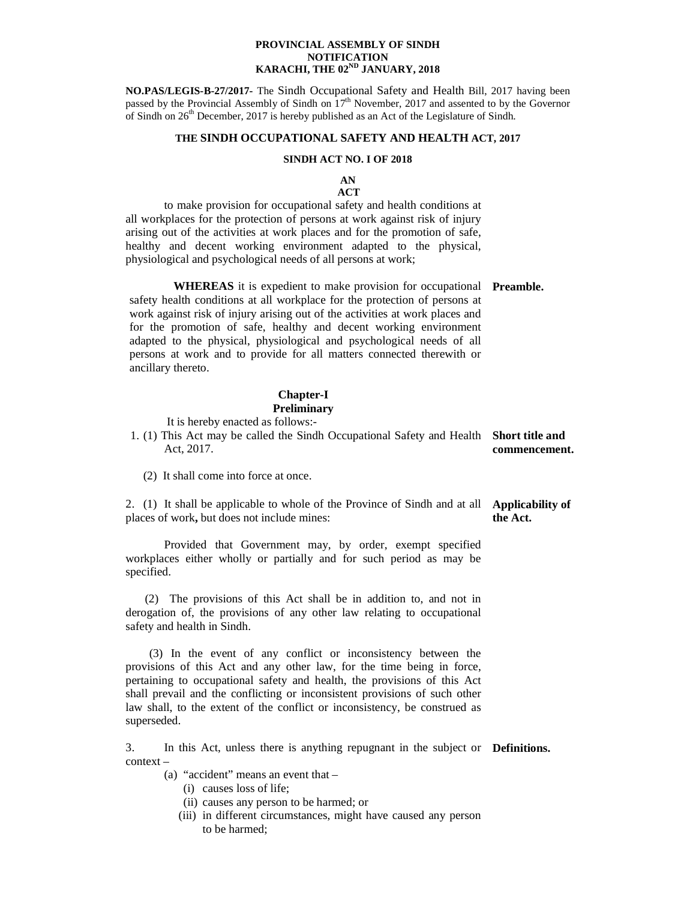### **PROVINCIAL ASSEMBLY OF SINDH NOTIFICATION KARACHI, THE 02ND JANUARY, 2018**

**NO.PAS/LEGIS-B-27/2017-** The Sindh Occupational Safety and Health Bill, 2017 having been passed by the Provincial Assembly of Sindh on  $17<sup>th</sup>$  November, 2017 and assented to by the Governor of Sindh on  $26<sup>th</sup>$  December, 2017 is hereby published as an Act of the Legislature of Sindh.

### **THE SINDH OCCUPATIONAL SAFETY AND HEALTH ACT, 2017**

### **SINDH ACT NO. I OF 2018**

### **AN ACT**

 to make provision for occupational safety and health conditions at all workplaces for the protection of persons at work against risk of injury arising out of the activities at work places and for the promotion of safe, healthy and decent working environment adapted to the physical, physiological and psychological needs of all persons at work;

**WHEREAS** it is expedient to make provision for occupational **Preamble.** safety health conditions at all workplace for the protection of persons at work against risk of injury arising out of the activities at work places and for the promotion of safe, healthy and decent working environment adapted to the physical, physiological and psychological needs of all persons at work and to provide for all matters connected therewith or ancillary thereto.

### **Chapter-I Preliminary**

It is hereby enacted as follows:-

| 1. (1) This Act may be called the Sindh Occupational Safety and Health Short title and |               |
|----------------------------------------------------------------------------------------|---------------|
| Act. 2017.                                                                             | commencement. |

(2) It shall come into force at once.

2. (1) It shall be applicable to whole of the Province of Sindh and at all **Applicability of**  places of work**,** but does not include mines: **the Act.** 

Provided that Government may, by order, exempt specified workplaces either wholly or partially and for such period as may be specified.

 (2) The provisions of this Act shall be in addition to, and not in derogation of, the provisions of any other law relating to occupational safety and health in Sindh.

 (3) In the event of any conflict or inconsistency between the provisions of this Act and any other law, for the time being in force, pertaining to occupational safety and health, the provisions of this Act shall prevail and the conflicting or inconsistent provisions of such other law shall, to the extent of the conflict or inconsistency, be construed as superseded.

3. In this Act, unless there is anything repugnant in the subject or **Definitions.** context –

- (a) "accident" means an event that
	- (i) causes loss of life;
	- (ii) causes any person to be harmed; or
	- (iii) in different circumstances, might have caused any person to be harmed;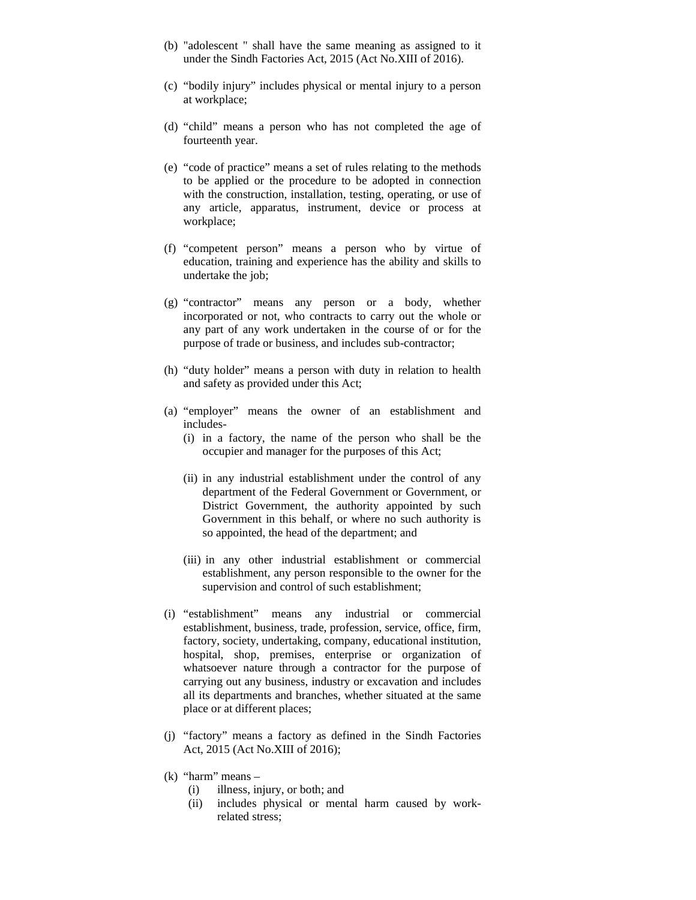- (b) "adolescent " shall have the same meaning as assigned to it under the Sindh Factories Act, 2015 (Act No.XIII of 2016).
- (c) "bodily injury" includes physical or mental injury to a person at workplace;
- (d) "child" means a person who has not completed the age of fourteenth year.
- (e) "code of practice" means a set of rules relating to the methods to be applied or the procedure to be adopted in connection with the construction, installation, testing, operating, or use of any article, apparatus, instrument, device or process at workplace;
- (f) "competent person" means a person who by virtue of education, training and experience has the ability and skills to undertake the job;
- (g) "contractor" means any person or a body, whether incorporated or not, who contracts to carry out the whole or any part of any work undertaken in the course of or for the purpose of trade or business, and includes sub-contractor;
- (h) "duty holder" means a person with duty in relation to health and safety as provided under this Act;
- (a) "employer" means the owner of an establishment and includes-
	- (i) in a factory, the name of the person who shall be the occupier and manager for the purposes of this Act;
	- (ii) in any industrial establishment under the control of any department of the Federal Government or Government, or District Government, the authority appointed by such Government in this behalf, or where no such authority is so appointed, the head of the department; and
	- (iii) in any other industrial establishment or commercial establishment, any person responsible to the owner for the supervision and control of such establishment;
- (i) "establishment" means any industrial or commercial establishment, business, trade, profession, service, office, firm, factory, society, undertaking, company, educational institution, hospital, shop, premises, enterprise or organization of whatsoever nature through a contractor for the purpose of carrying out any business, industry or excavation and includes all its departments and branches, whether situated at the same place or at different places;
- (j) "factory" means a factory as defined in the Sindh Factories Act, 2015 (Act No.XIII of 2016);
- $(k)$  "harm" means
	- (i) illness, injury, or both; and
	- (ii) includes physical or mental harm caused by workrelated stress;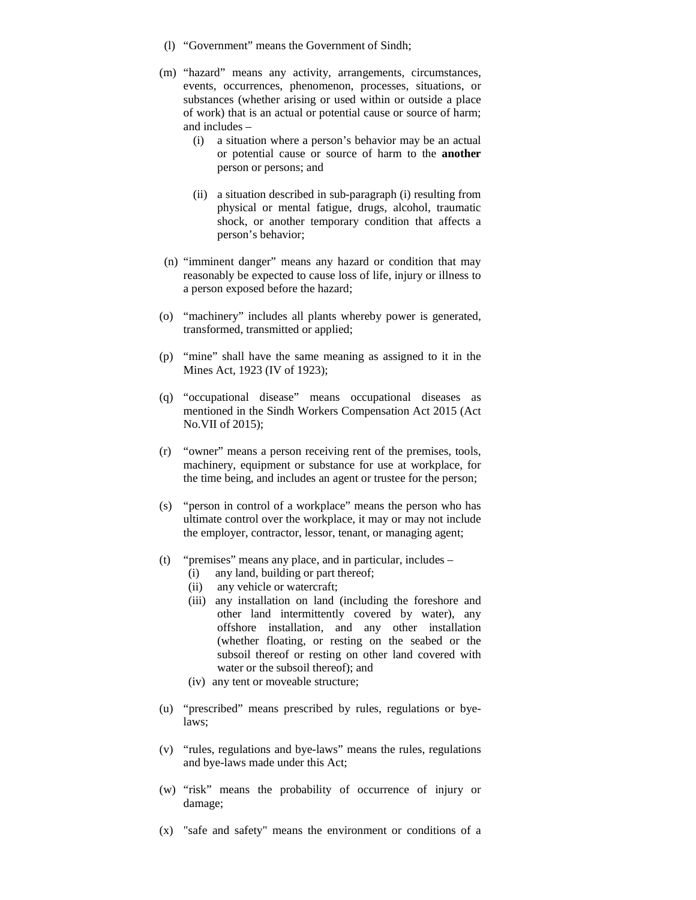- (l) "Government" means the Government of Sindh;
- (m) "hazard" means any activity, arrangements, circumstances, events, occurrences, phenomenon, processes, situations, or substances (whether arising or used within or outside a place of work) that is an actual or potential cause or source of harm; and includes –
	- (i) a situation where a person's behavior may be an actual or potential cause or source of harm to the **another** person or persons; and
	- (ii) a situation described in sub-paragraph (i) resulting from physical or mental fatigue, drugs, alcohol, traumatic shock, or another temporary condition that affects a person's behavior;
- (n) "imminent danger" means any hazard or condition that may reasonably be expected to cause loss of life, injury or illness to a person exposed before the hazard;
- (o) "machinery" includes all plants whereby power is generated, transformed, transmitted or applied;
- (p) "mine" shall have the same meaning as assigned to it in the Mines Act, 1923 (IV of 1923);
- (q) "occupational disease" means occupational diseases as mentioned in the Sindh Workers Compensation Act 2015 (Act No.VII of 2015);
- (r) "owner" means a person receiving rent of the premises, tools, machinery, equipment or substance for use at workplace, for the time being, and includes an agent or trustee for the person;
- (s) "person in control of a workplace" means the person who has ultimate control over the workplace, it may or may not include the employer, contractor, lessor, tenant, or managing agent;
- (t) "premises" means any place, and in particular, includes
	- (i) any land, building or part thereof;
	- (ii) any vehicle or watercraft;
	- (iii) any installation on land (including the foreshore and other land intermittently covered by water), any offshore installation, and any other installation (whether floating, or resting on the seabed or the subsoil thereof or resting on other land covered with water or the subsoil thereof); and
	- (iv) any tent or moveable structure;
- (u) "prescribed" means prescribed by rules, regulations or byelaws;
- (v) "rules, regulations and bye-laws" means the rules, regulations and bye-laws made under this Act;
- (w) "risk" means the probability of occurrence of injury or damage;
- (x) "safe and safety" means the environment or conditions of a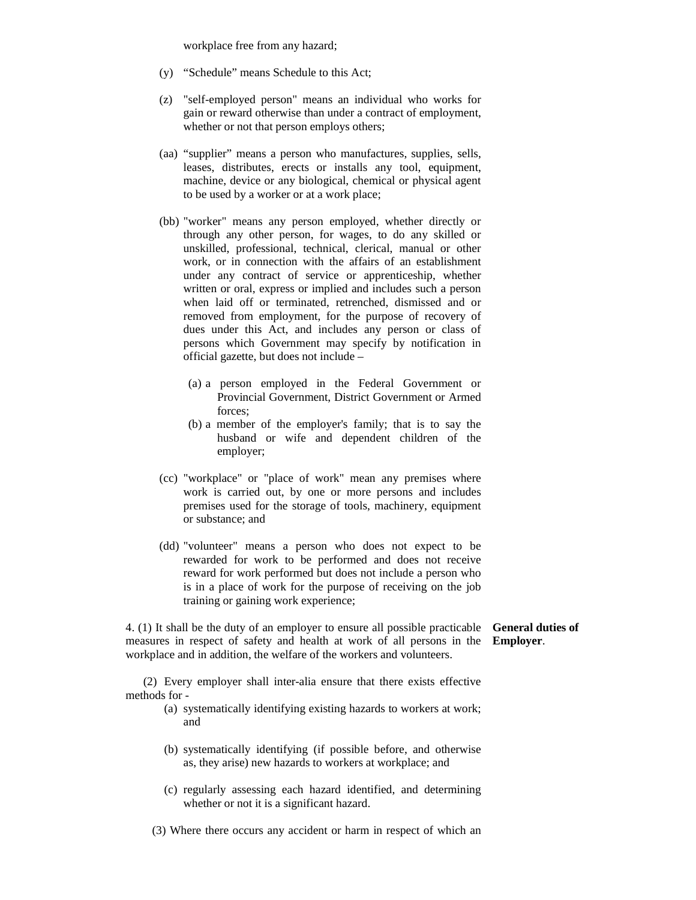workplace free from any hazard;

- (y) "Schedule" means Schedule to this Act;
- (z) "self-employed person" means an individual who works for gain or reward otherwise than under a contract of employment, whether or not that person employs others;
- (aa) "supplier" means a person who manufactures, supplies, sells, leases, distributes, erects or installs any tool, equipment, machine, device or any biological, chemical or physical agent to be used by a worker or at a work place;
- (bb) "worker" means any person employed, whether directly or through any other person, for wages, to do any skilled or unskilled, professional, technical, clerical, manual or other work, or in connection with the affairs of an establishment under any contract of service or apprenticeship, whether written or oral, express or implied and includes such a person when laid off or terminated, retrenched, dismissed and or removed from employment, for the purpose of recovery of dues under this Act, and includes any person or class of persons which Government may specify by notification in official gazette, but does not include –
	- (a) a person employed in the Federal Government or Provincial Government, District Government or Armed forces;
	- (b) a member of the employer's family; that is to say the husband or wife and dependent children of the employer;
- (cc) "workplace" or "place of work" mean any premises where work is carried out, by one or more persons and includes premises used for the storage of tools, machinery, equipment or substance; and
- (dd) "volunteer" means a person who does not expect to be rewarded for work to be performed and does not receive reward for work performed but does not include a person who is in a place of work for the purpose of receiving on the job training or gaining work experience;

4. (1) It shall be the duty of an employer to ensure all possible practicable measures in respect of safety and health at work of all persons in the **Employer**. workplace and in addition, the welfare of the workers and volunteers. **General duties of** 

 (2) Every employer shall inter-alia ensure that there exists effective methods for -

- (a) systematically identifying existing hazards to workers at work; and
- (b) systematically identifying (if possible before, and otherwise as, they arise) new hazards to workers at workplace; and
- (c) regularly assessing each hazard identified, and determining whether or not it is a significant hazard.
- (3) Where there occurs any accident or harm in respect of which an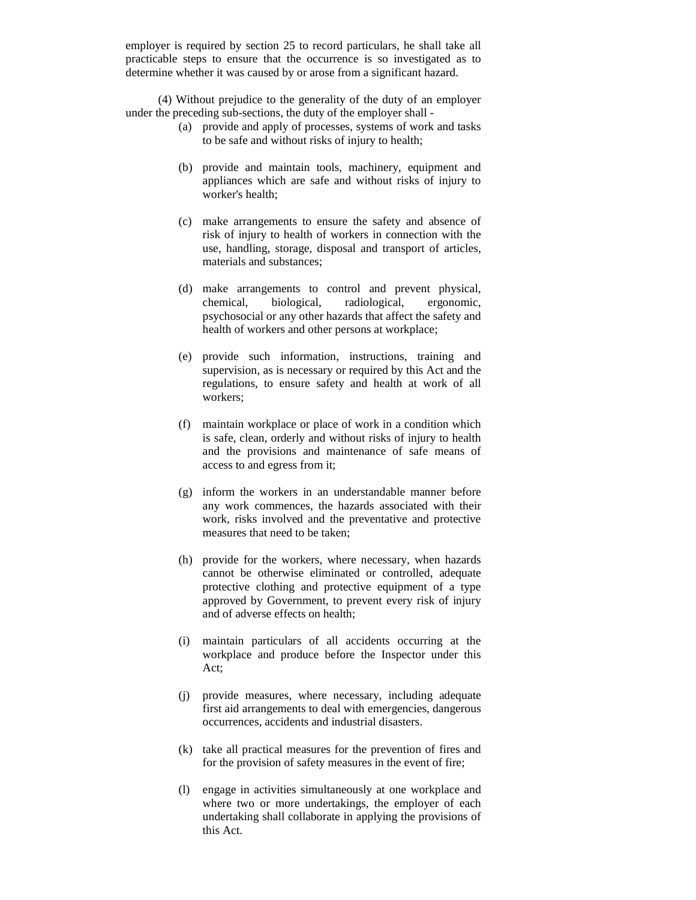employer is required by section 25 to record particulars, he shall take all practicable steps to ensure that the occurrence is so investigated as to determine whether it was caused by or arose from a significant hazard.

 (4) Without prejudice to the generality of the duty of an employer under the preceding sub-sections, the duty of the employer shall -

- (a) provide and apply of processes, systems of work and tasks to be safe and without risks of injury to health;
- (b) provide and maintain tools, machinery, equipment and appliances which are safe and without risks of injury to worker's health;
- (c) make arrangements to ensure the safety and absence of risk of injury to health of workers in connection with the use, handling, storage, disposal and transport of articles, materials and substances;
- (d) make arrangements to control and prevent physical, chemical, biological, radiological, ergonomic, psychosocial or any other hazards that affect the safety and health of workers and other persons at workplace;
- (e) provide such information, instructions, training and supervision, as is necessary or required by this Act and the regulations, to ensure safety and health at work of all workers;
- (f) maintain workplace or place of work in a condition which is safe, clean, orderly and without risks of injury to health and the provisions and maintenance of safe means of access to and egress from it;
- (g) inform the workers in an understandable manner before any work commences, the hazards associated with their work, risks involved and the preventative and protective measures that need to be taken;
- (h) provide for the workers, where necessary, when hazards cannot be otherwise eliminated or controlled, adequate protective clothing and protective equipment of a type approved by Government, to prevent every risk of injury and of adverse effects on health;
- (i) maintain particulars of all accidents occurring at the workplace and produce before the Inspector under this Act;
- (j) provide measures, where necessary, including adequate first aid arrangements to deal with emergencies, dangerous occurrences, accidents and industrial disasters.
- (k) take all practical measures for the prevention of fires and for the provision of safety measures in the event of fire;
- (l) engage in activities simultaneously at one workplace and where two or more undertakings, the employer of each undertaking shall collaborate in applying the provisions of this Act.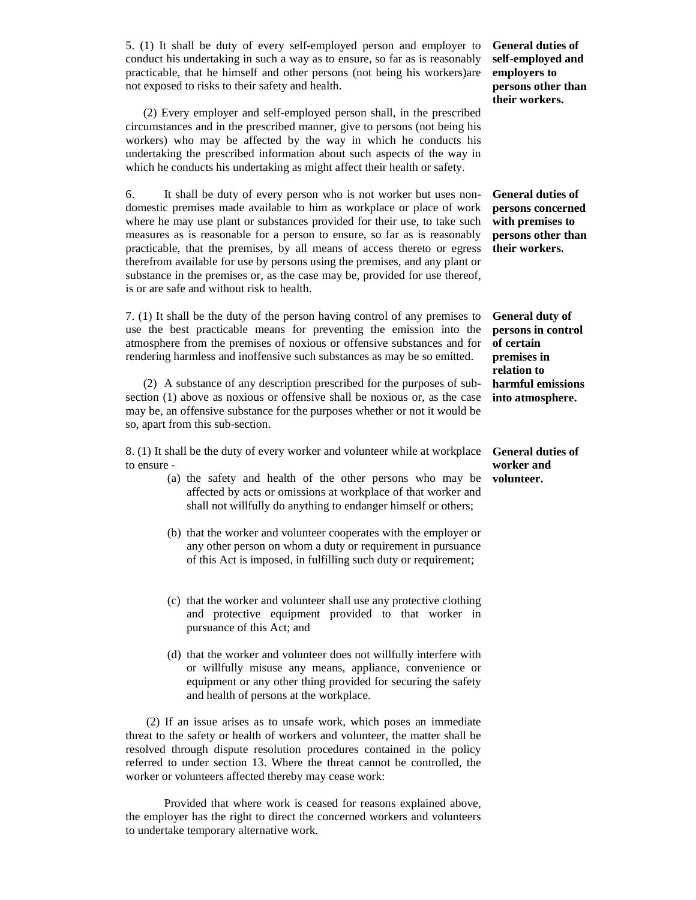5. (1) It shall be duty of every self-employed person and employer to conduct his undertaking in such a way as to ensure, so far as is reasonably practicable, that he himself and other persons (not being his workers)are not exposed to risks to their safety and health.

 (2) Every employer and self-employed person shall, in the prescribed circumstances and in the prescribed manner, give to persons (not being his workers) who may be affected by the way in which he conducts his undertaking the prescribed information about such aspects of the way in which he conducts his undertaking as might affect their health or safety.

6. It shall be duty of every person who is not worker but uses nondomestic premises made available to him as workplace or place of work where he may use plant or substances provided for their use, to take such measures as is reasonable for a person to ensure, so far as is reasonably practicable, that the premises, by all means of access thereto or egress therefrom available for use by persons using the premises, and any plant or substance in the premises or, as the case may be, provided for use thereof, is or are safe and without risk to health.

7. (1) It shall be the duty of the person having control of any premises to use the best practicable means for preventing the emission into the atmosphere from the premises of noxious or offensive substances and for rendering harmless and inoffensive such substances as may be so emitted.

 (2) A substance of any description prescribed for the purposes of subsection (1) above as noxious or offensive shall be noxious or, as the case may be, an offensive substance for the purposes whether or not it would be so, apart from this sub-section.

8. (1) It shall be the duty of every worker and volunteer while at workplace to ensure -

- (a) the safety and health of the other persons who may be affected by acts or omissions at workplace of that worker and shall not willfully do anything to endanger himself or others;
- (b) that the worker and volunteer cooperates with the employer or any other person on whom a duty or requirement in pursuance of this Act is imposed, in fulfilling such duty or requirement;
- (c) that the worker and volunteer shall use any protective clothing and protective equipment provided to that worker in pursuance of this Act; and
- (d) that the worker and volunteer does not willfully interfere with or willfully misuse any means, appliance, convenience or equipment or any other thing provided for securing the safety and health of persons at the workplace.

 (2) If an issue arises as to unsafe work, which poses an immediate threat to the safety or health of workers and volunteer, the matter shall be resolved through dispute resolution procedures contained in the policy referred to under section 13. Where the threat cannot be controlled, the worker or volunteers affected thereby may cease work:

 Provided that where work is ceased for reasons explained above, the employer has the right to direct the concerned workers and volunteers to undertake temporary alternative work.

**General duties of self-employed and employers to persons other than their workers.**

**General duties of persons concerned with premises to persons other than their workers.**

**General duty of persons in control of certain premises in relation to harmful emissions into atmosphere.**

**General duties of worker and volunteer.**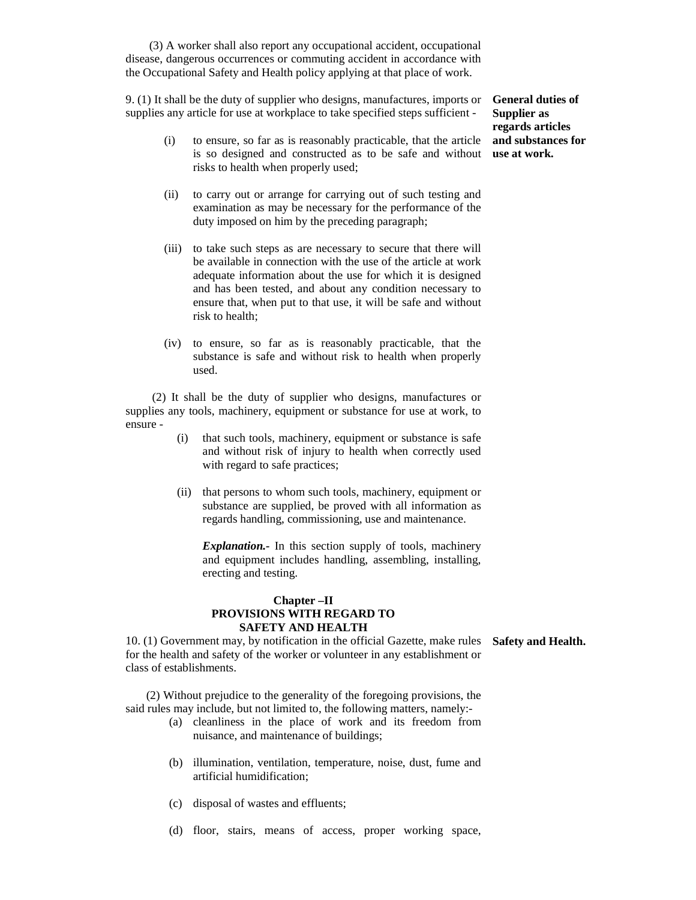(3) A worker shall also report any occupational accident, occupational disease, dangerous occurrences or commuting accident in accordance with the Occupational Safety and Health policy applying at that place of work.

9. (1) It shall be the duty of supplier who designs, manufactures, imports or supplies any article for use at workplace to take specified steps sufficient -

- (i) to ensure, so far as is reasonably practicable, that the article is so designed and constructed as to be safe and without **use at work.** risks to health when properly used;
- (ii) to carry out or arrange for carrying out of such testing and examination as may be necessary for the performance of the duty imposed on him by the preceding paragraph;
- (iii) to take such steps as are necessary to secure that there will be available in connection with the use of the article at work adequate information about the use for which it is designed and has been tested, and about any condition necessary to ensure that, when put to that use, it will be safe and without risk to health;
- (iv) to ensure, so far as is reasonably practicable, that the substance is safe and without risk to health when properly used.

 (2) It shall be the duty of supplier who designs, manufactures or supplies any tools, machinery, equipment or substance for use at work, to ensure -

- (i) that such tools, machinery, equipment or substance is safe and without risk of injury to health when correctly used with regard to safe practices;
- (ii) that persons to whom such tools, machinery, equipment or substance are supplied, be proved with all information as regards handling, commissioning, use and maintenance.

*Explanation.-* In this section supply of tools, machinery and equipment includes handling, assembling, installing, erecting and testing.

### **Chapter –II PROVISIONS WITH REGARD TO SAFETY AND HEALTH**

10. (1) Government may, by notification in the official Gazette, make rules **Safety and Health.**for the health and safety of the worker or volunteer in any establishment or class of establishments.

 (2) Without prejudice to the generality of the foregoing provisions, the said rules may include, but not limited to, the following matters, namely:-

- (a) cleanliness in the place of work and its freedom from nuisance, and maintenance of buildings;
- (b) illumination, ventilation, temperature, noise, dust, fume and artificial humidification;
- (c) disposal of wastes and effluents;
- (d) floor, stairs, means of access, proper working space,

**General duties of Supplier as regards articles and substances for**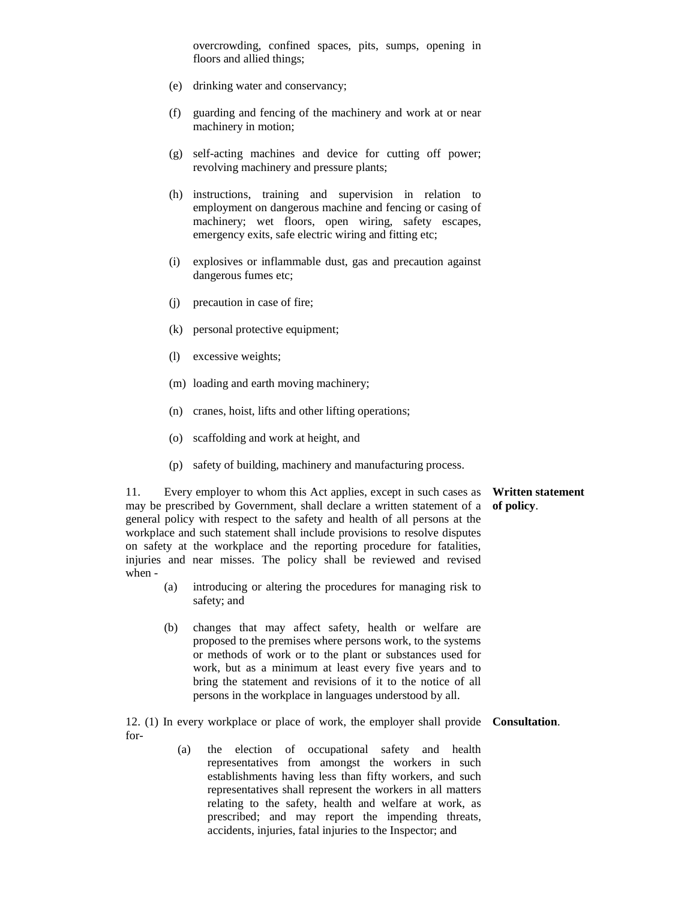overcrowding, confined spaces, pits, sumps, opening in floors and allied things;

- (e) drinking water and conservancy;
- (f) guarding and fencing of the machinery and work at or near machinery in motion;
- (g) self-acting machines and device for cutting off power; revolving machinery and pressure plants;
- (h) instructions, training and supervision in relation to employment on dangerous machine and fencing or casing of machinery; wet floors, open wiring, safety escapes, emergency exits, safe electric wiring and fitting etc;
- (i) explosives or inflammable dust, gas and precaution against dangerous fumes etc;
- (j) precaution in case of fire;
- (k) personal protective equipment;
- (l) excessive weights;
- (m) loading and earth moving machinery;
- (n) cranes, hoist, lifts and other lifting operations;
- (o) scaffolding and work at height, and
- (p) safety of building, machinery and manufacturing process.

**Written statement of policy**.

11. Every employer to whom this Act applies, except in such cases as may be prescribed by Government, shall declare a written statement of a general policy with respect to the safety and health of all persons at the workplace and such statement shall include provisions to resolve disputes on safety at the workplace and the reporting procedure for fatalities, injuries and near misses. The policy shall be reviewed and revised when -

- (a) introducing or altering the procedures for managing risk to safety; and
- (b) changes that may affect safety, health or welfare are proposed to the premises where persons work, to the systems or methods of work or to the plant or substances used for work, but as a minimum at least every five years and to bring the statement and revisions of it to the notice of all persons in the workplace in languages understood by all.

12. (1) In every workplace or place of work, the employer shall provide **Consultation**. for-

> (a) the election of occupational safety and health representatives from amongst the workers in such establishments having less than fifty workers, and such representatives shall represent the workers in all matters relating to the safety, health and welfare at work, as prescribed; and may report the impending threats, accidents, injuries, fatal injuries to the Inspector; and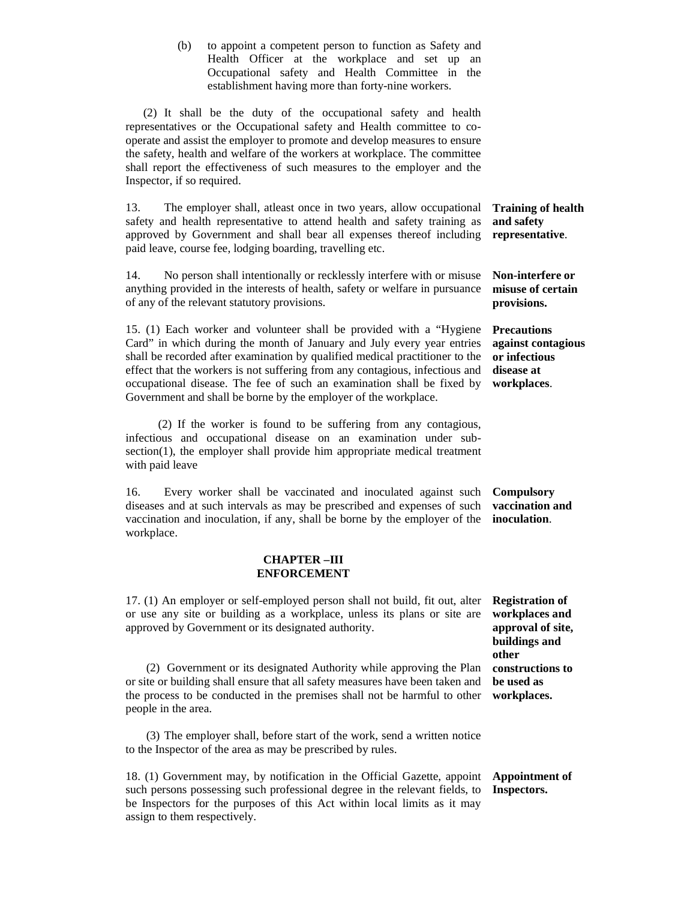(b) to appoint a competent person to function as Safety and Health Officer at the workplace and set up an Occupational safety and Health Committee in the establishment having more than forty-nine workers.

 (2) It shall be the duty of the occupational safety and health representatives or the Occupational safety and Health committee to cooperate and assist the employer to promote and develop measures to ensure the safety, health and welfare of the workers at workplace. The committee shall report the effectiveness of such measures to the employer and the Inspector, if so required.

13. The employer shall, atleast once in two years, allow occupational safety and health representative to attend health and safety training as approved by Government and shall bear all expenses thereof including paid leave, course fee, lodging boarding, travelling etc. **Training of health and safety representative**.

14. No person shall intentionally or recklessly interfere with or misuse anything provided in the interests of health, safety or welfare in pursuance of any of the relevant statutory provisions.

15. (1) Each worker and volunteer shall be provided with a "Hygiene Card" in which during the month of January and July every year entries shall be recorded after examination by qualified medical practitioner to the effect that the workers is not suffering from any contagious, infectious and occupational disease. The fee of such an examination shall be fixed by Government and shall be borne by the employer of the workplace.

 (2) If the worker is found to be suffering from any contagious, infectious and occupational disease on an examination under subsection(1), the employer shall provide him appropriate medical treatment with paid leave

16. Every worker shall be vaccinated and inoculated against such diseases and at such intervals as may be prescribed and expenses of such vaccination and inoculation, if any, shall be borne by the employer of the workplace.

### **CHAPTER –III ENFORCEMENT**

17. (1) An employer or self-employed person shall not build, fit out, alter or use any site or building as a workplace, unless its plans or site are approved by Government or its designated authority.

 (2) Government or its designated Authority while approving the Plan or site or building shall ensure that all safety measures have been taken and the process to be conducted in the premises shall not be harmful to other people in the area.

 (3) The employer shall, before start of the work, send a written notice to the Inspector of the area as may be prescribed by rules.

18. (1) Government may, by notification in the Official Gazette, appoint such persons possessing such professional degree in the relevant fields, to be Inspectors for the purposes of this Act within local limits as it may assign to them respectively. **Appointment of Inspectors.** 

**Non-interfere or misuse of certain provisions.** 

**Precautions against contagious or infectious disease at workplaces**.

**Compulsory vaccination and inoculation**.

**Registration of workplaces and approval of site, buildings and other constructions to be used as workplaces.**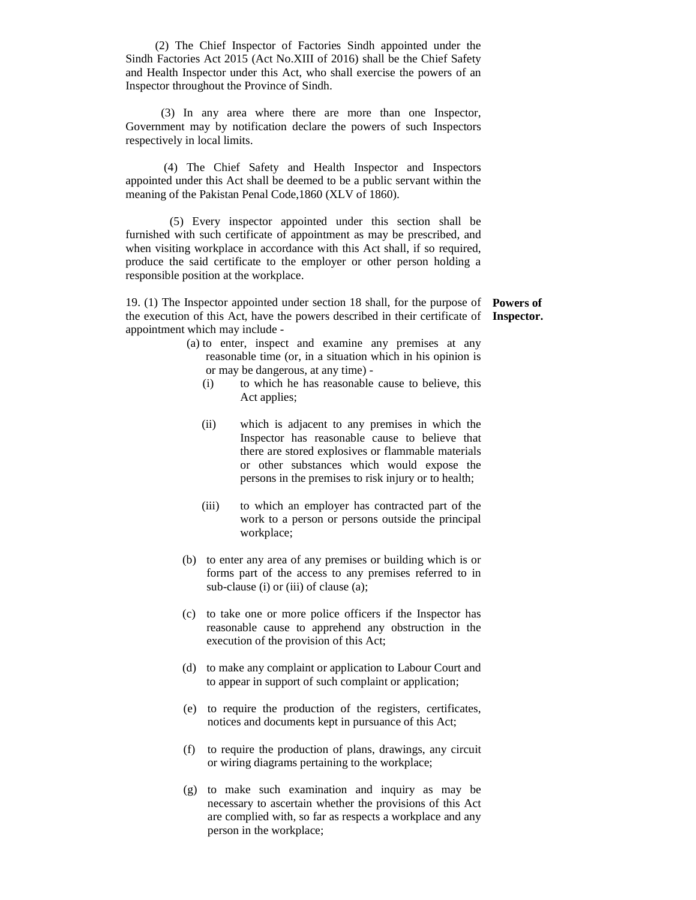(2) The Chief Inspector of Factories Sindh appointed under the Sindh Factories Act 2015 (Act No.XIII of 2016) shall be the Chief Safety and Health Inspector under this Act, who shall exercise the powers of an Inspector throughout the Province of Sindh.

 (3) In any area where there are more than one Inspector, Government may by notification declare the powers of such Inspectors respectively in local limits.

 (4) The Chief Safety and Health Inspector and Inspectors appointed under this Act shall be deemed to be a public servant within the meaning of the Pakistan Penal Code,1860 (XLV of 1860).

 (5) Every inspector appointed under this section shall be furnished with such certificate of appointment as may be prescribed, and when visiting workplace in accordance with this Act shall, if so required, produce the said certificate to the employer or other person holding a responsible position at the workplace.

19. (1) The Inspector appointed under section 18 shall, for the purpose of **Powers of**  the execution of this Act, have the powers described in their certificate of **Inspector.**appointment which may include -

- (a) to enter, inspect and examine any premises at any reasonable time (or, in a situation which in his opinion is or may be dangerous, at any time) -
	- (i) to which he has reasonable cause to believe, this Act applies;
	- (ii) which is adjacent to any premises in which the Inspector has reasonable cause to believe that there are stored explosives or flammable materials or other substances which would expose the persons in the premises to risk injury or to health;
	- (iii) to which an employer has contracted part of the work to a person or persons outside the principal workplace;
- (b) to enter any area of any premises or building which is or forms part of the access to any premises referred to in sub-clause (i) or (iii) of clause (a);
- (c) to take one or more police officers if the Inspector has reasonable cause to apprehend any obstruction in the execution of the provision of this Act;
- (d) to make any complaint or application to Labour Court and to appear in support of such complaint or application;
- (e) to require the production of the registers, certificates, notices and documents kept in pursuance of this Act;
- (f) to require the production of plans, drawings, any circuit or wiring diagrams pertaining to the workplace;
- (g) to make such examination and inquiry as may be necessary to ascertain whether the provisions of this Act are complied with, so far as respects a workplace and any person in the workplace;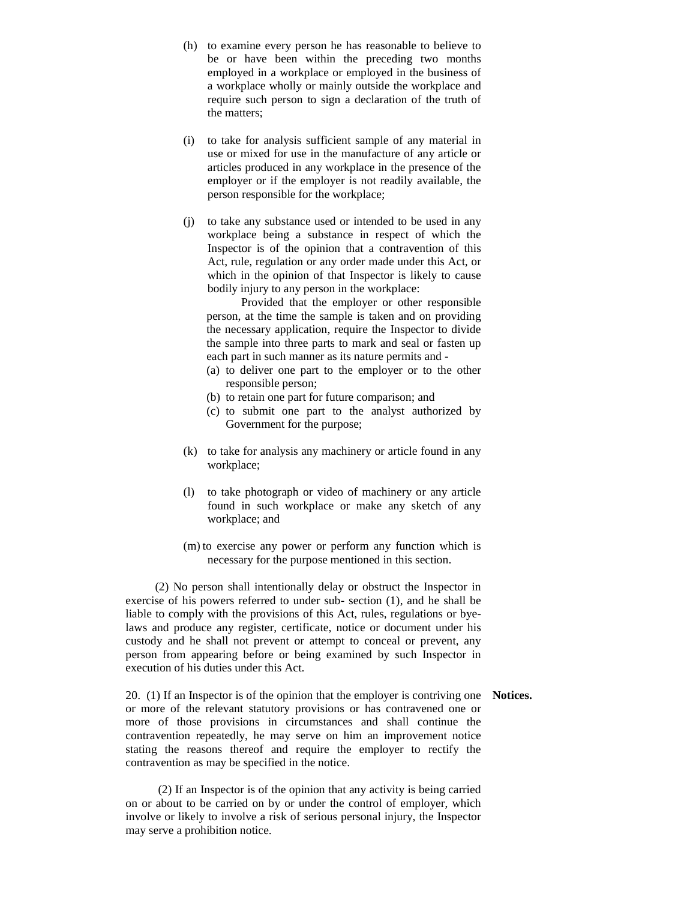- (h) to examine every person he has reasonable to believe to be or have been within the preceding two months employed in a workplace or employed in the business of a workplace wholly or mainly outside the workplace and require such person to sign a declaration of the truth of the matters;
- (i) to take for analysis sufficient sample of any material in use or mixed for use in the manufacture of any article or articles produced in any workplace in the presence of the employer or if the employer is not readily available, the person responsible for the workplace;
- (j) to take any substance used or intended to be used in any workplace being a substance in respect of which the Inspector is of the opinion that a contravention of this Act, rule, regulation or any order made under this Act, or which in the opinion of that Inspector is likely to cause bodily injury to any person in the workplace:

 Provided that the employer or other responsible person, at the time the sample is taken and on providing the necessary application, require the Inspector to divide the sample into three parts to mark and seal or fasten up each part in such manner as its nature permits and -

- (a) to deliver one part to the employer or to the other responsible person;
- (b) to retain one part for future comparison; and
- (c) to submit one part to the analyst authorized by Government for the purpose;
- (k) to take for analysis any machinery or article found in any workplace;
- (l) to take photograph or video of machinery or any article found in such workplace or make any sketch of any workplace; and
- (m) to exercise any power or perform any function which is necessary for the purpose mentioned in this section.

 (2) No person shall intentionally delay or obstruct the Inspector in exercise of his powers referred to under sub- section (1), and he shall be liable to comply with the provisions of this Act, rules, regulations or byelaws and produce any register, certificate, notice or document under his custody and he shall not prevent or attempt to conceal or prevent, any person from appearing before or being examined by such Inspector in execution of his duties under this Act.

20. (1) If an Inspector is of the opinion that the employer is contriving one **Notices.**or more of the relevant statutory provisions or has contravened one or more of those provisions in circumstances and shall continue the contravention repeatedly, he may serve on him an improvement notice stating the reasons thereof and require the employer to rectify the contravention as may be specified in the notice.

 (2) If an Inspector is of the opinion that any activity is being carried on or about to be carried on by or under the control of employer, which involve or likely to involve a risk of serious personal injury, the Inspector may serve a prohibition notice.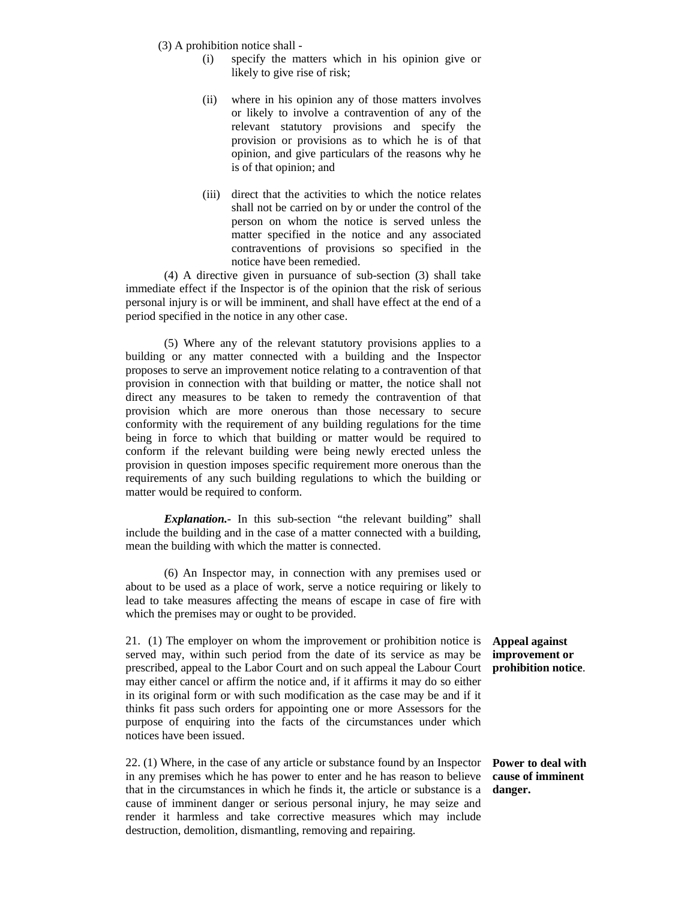- (3) A prohibition notice shall
	- (i) specify the matters which in his opinion give or likely to give rise of risk;
	- (ii) where in his opinion any of those matters involves or likely to involve a contravention of any of the relevant statutory provisions and specify the provision or provisions as to which he is of that opinion, and give particulars of the reasons why he is of that opinion; and
	- (iii) direct that the activities to which the notice relates shall not be carried on by or under the control of the person on whom the notice is served unless the matter specified in the notice and any associated contraventions of provisions so specified in the notice have been remedied.

 (4) A directive given in pursuance of sub-section (3) shall take immediate effect if the Inspector is of the opinion that the risk of serious personal injury is or will be imminent, and shall have effect at the end of a period specified in the notice in any other case.

 (5) Where any of the relevant statutory provisions applies to a building or any matter connected with a building and the Inspector proposes to serve an improvement notice relating to a contravention of that provision in connection with that building or matter, the notice shall not direct any measures to be taken to remedy the contravention of that provision which are more onerous than those necessary to secure conformity with the requirement of any building regulations for the time being in force to which that building or matter would be required to conform if the relevant building were being newly erected unless the provision in question imposes specific requirement more onerous than the requirements of any such building regulations to which the building or matter would be required to conform.

*Explanation.-* In this sub-section "the relevant building" shall include the building and in the case of a matter connected with a building, mean the building with which the matter is connected.

 (6) An Inspector may, in connection with any premises used or about to be used as a place of work, serve a notice requiring or likely to lead to take measures affecting the means of escape in case of fire with which the premises may or ought to be provided.

21. (1) The employer on whom the improvement or prohibition notice is served may, within such period from the date of its service as may be prescribed, appeal to the Labor Court and on such appeal the Labour Court may either cancel or affirm the notice and, if it affirms it may do so either in its original form or with such modification as the case may be and if it thinks fit pass such orders for appointing one or more Assessors for the purpose of enquiring into the facts of the circumstances under which notices have been issued.

22. (1) Where, in the case of any article or substance found by an Inspector in any premises which he has power to enter and he has reason to believe that in the circumstances in which he finds it, the article or substance is a cause of imminent danger or serious personal injury, he may seize and render it harmless and take corrective measures which may include destruction, demolition, dismantling, removing and repairing.

**Appeal against improvement or prohibition notice**.

**Power to deal with cause of imminent danger.**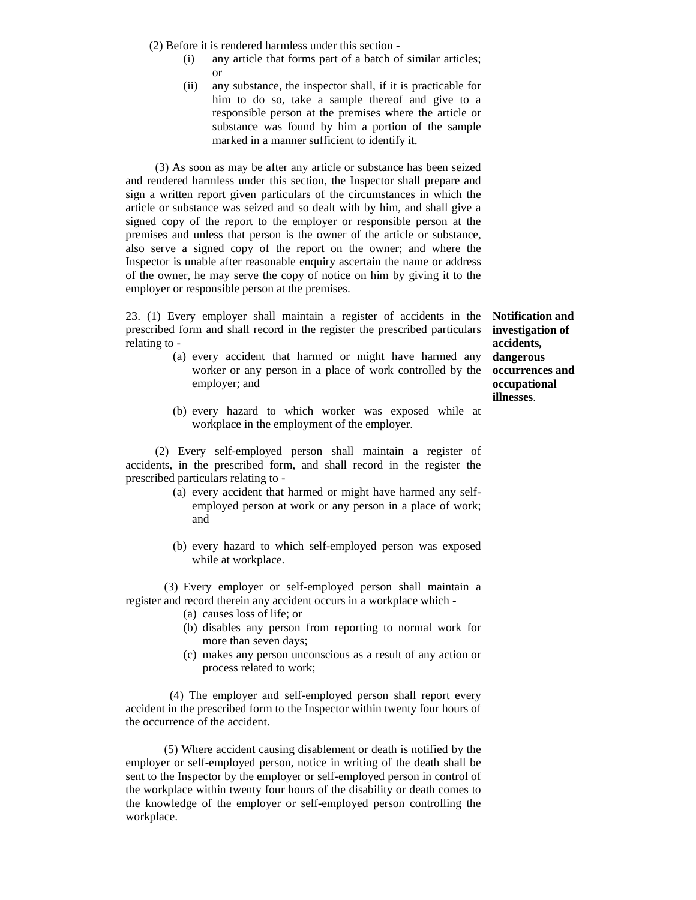(2) Before it is rendered harmless under this section -

- (i) any article that forms part of a batch of similar articles; or
- (ii) any substance, the inspector shall, if it is practicable for him to do so, take a sample thereof and give to a responsible person at the premises where the article or substance was found by him a portion of the sample marked in a manner sufficient to identify it.

 (3) As soon as may be after any article or substance has been seized and rendered harmless under this section, the Inspector shall prepare and sign a written report given particulars of the circumstances in which the article or substance was seized and so dealt with by him, and shall give a signed copy of the report to the employer or responsible person at the premises and unless that person is the owner of the article or substance, also serve a signed copy of the report on the owner; and where the Inspector is unable after reasonable enquiry ascertain the name or address of the owner, he may serve the copy of notice on him by giving it to the employer or responsible person at the premises.

23. (1) Every employer shall maintain a register of accidents in the prescribed form and shall record in the register the prescribed particulars relating to -

- (a) every accident that harmed or might have harmed any worker or any person in a place of work controlled by the employer; and
- (b) every hazard to which worker was exposed while at workplace in the employment of the employer.

 (2) Every self-employed person shall maintain a register of accidents, in the prescribed form, and shall record in the register the prescribed particulars relating to -

- (a) every accident that harmed or might have harmed any selfemployed person at work or any person in a place of work; and
- (b) every hazard to which self-employed person was exposed while at workplace.

(3) Every employer or self-employed person shall maintain a register and record therein any accident occurs in a workplace which -

- (a) causes loss of life; or
- (b) disables any person from reporting to normal work for more than seven days;
- (c) makes any person unconscious as a result of any action or process related to work;

 (4) The employer and self-employed person shall report every accident in the prescribed form to the Inspector within twenty four hours of the occurrence of the accident.

 (5) Where accident causing disablement or death is notified by the employer or self-employed person, notice in writing of the death shall be sent to the Inspector by the employer or self-employed person in control of the workplace within twenty four hours of the disability or death comes to the knowledge of the employer or self-employed person controlling the workplace.

**Notification and investigation of accidents, dangerous occurrences and occupational illnesses**.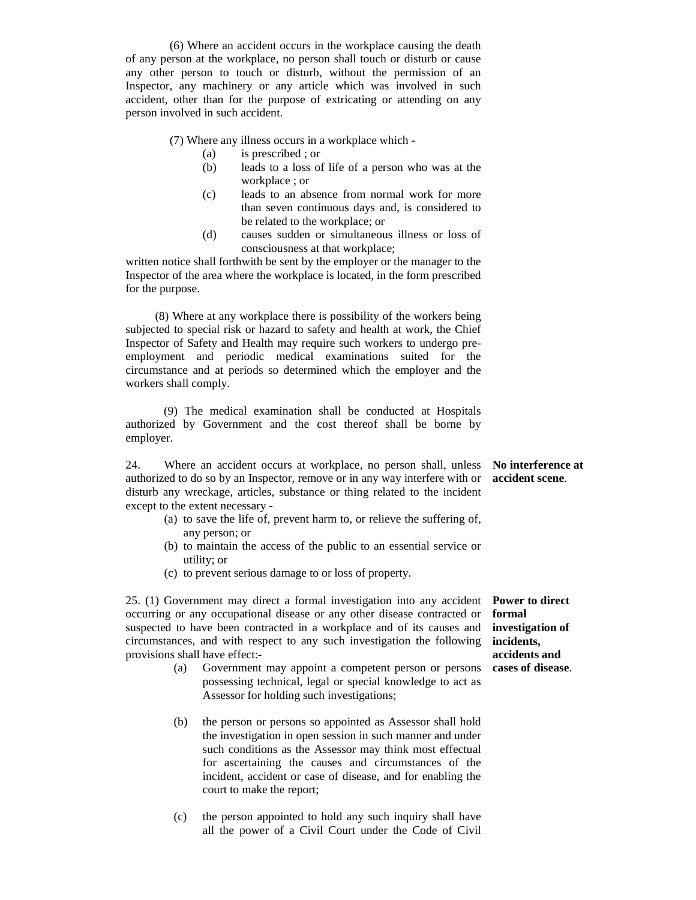(6) Where an accident occurs in the workplace causing the death of any person at the workplace, no person shall touch or disturb or cause any other person to touch or disturb, without the permission of an Inspector, any machinery or any article which was involved in such accident, other than for the purpose of extricating or attending on any person involved in such accident.

(7) Where any illness occurs in a workplace which -

- (a) is prescribed ; or
- (b) leads to a loss of life of a person who was at the workplace ; or
- (c) leads to an absence from normal work for more than seven continuous days and, is considered to be related to the workplace; or
- (d) causes sudden or simultaneous illness or loss of consciousness at that workplace;

written notice shall forthwith be sent by the employer or the manager to the Inspector of the area where the workplace is located, in the form prescribed for the purpose.

 (8) Where at any workplace there is possibility of the workers being subjected to special risk or hazard to safety and health at work, the Chief Inspector of Safety and Health may require such workers to undergo preemployment and periodic medical examinations suited for the circumstance and at periods so determined which the employer and the workers shall comply.

 (9) The medical examination shall be conducted at Hospitals authorized by Government and the cost thereof shall be borne by employer.

24. Where an accident occurs at workplace, no person shall, unless authorized to do so by an Inspector, remove or in any way interfere with or disturb any wreckage, articles, substance or thing related to the incident except to the extent necessary - **No interference at accident scene**.

- (a) to save the life of, prevent harm to, or relieve the suffering of, any person; or
- (b) to maintain the access of the public to an essential service or utility; or
- (c) to prevent serious damage to or loss of property.

25. (1) Government may direct a formal investigation into any accident occurring or any occupational disease or any other disease contracted or suspected to have been contracted in a workplace and of its causes and circumstances, and with respect to any such investigation the following provisions shall have effect:-

- (a) Government may appoint a competent person or persons possessing technical, legal or special knowledge to act as Assessor for holding such investigations;
- (b) the person or persons so appointed as Assessor shall hold the investigation in open session in such manner and under such conditions as the Assessor may think most effectual for ascertaining the causes and circumstances of the incident, accident or case of disease, and for enabling the court to make the report;
- (c) the person appointed to hold any such inquiry shall have all the power of a Civil Court under the Code of Civil

**Power to direct formal investigation of incidents, accidents and cases of disease**.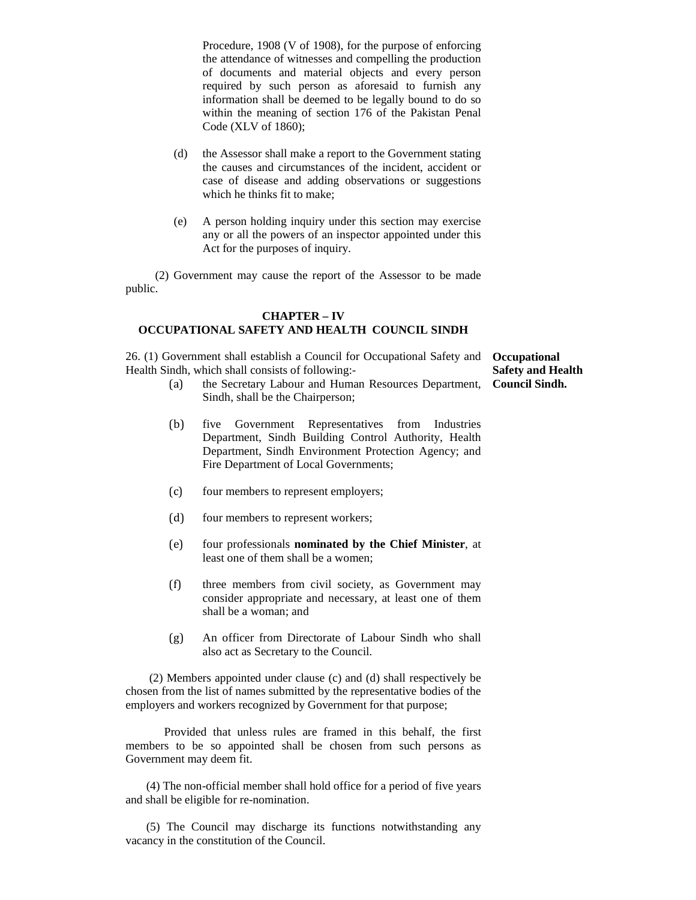Procedure, 1908 (V of 1908), for the purpose of enforcing the attendance of witnesses and compelling the production of documents and material objects and every person required by such person as aforesaid to furnish any information shall be deemed to be legally bound to do so within the meaning of section 176 of the Pakistan Penal Code (XLV of 1860);

- (d) the Assessor shall make a report to the Government stating the causes and circumstances of the incident, accident or case of disease and adding observations or suggestions which he thinks fit to make;
- (e) A person holding inquiry under this section may exercise any or all the powers of an inspector appointed under this Act for the purposes of inquiry.

 (2) Government may cause the report of the Assessor to be made public.

### **CHAPTER – IV OCCUPATIONAL SAFETY AND HEALTH COUNCIL SINDH**

26. (1) Government shall establish a Council for Occupational Safety and **Occupational**  Health Sindh, which shall consists of following:-

**Safety and Health Council Sindh.**

- (a) the Secretary Labour and Human Resources Department, Sindh, shall be the Chairperson;
- (b) five Government Representatives from Industries Department, Sindh Building Control Authority, Health Department, Sindh Environment Protection Agency; and Fire Department of Local Governments;
- (c) four members to represent employers;
- (d) four members to represent workers;
- (e) four professionals **nominated by the Chief Minister**, at least one of them shall be a women;
- (f) three members from civil society, as Government may consider appropriate and necessary, at least one of them shall be a woman; and
- (g) An officer from Directorate of Labour Sindh who shall also act as Secretary to the Council.

 (2) Members appointed under clause (c) and (d) shall respectively be chosen from the list of names submitted by the representative bodies of the employers and workers recognized by Government for that purpose;

 Provided that unless rules are framed in this behalf, the first members to be so appointed shall be chosen from such persons as Government may deem fit.

 (4) The non-official member shall hold office for a period of five years and shall be eligible for re-nomination.

 (5) The Council may discharge its functions notwithstanding any vacancy in the constitution of the Council.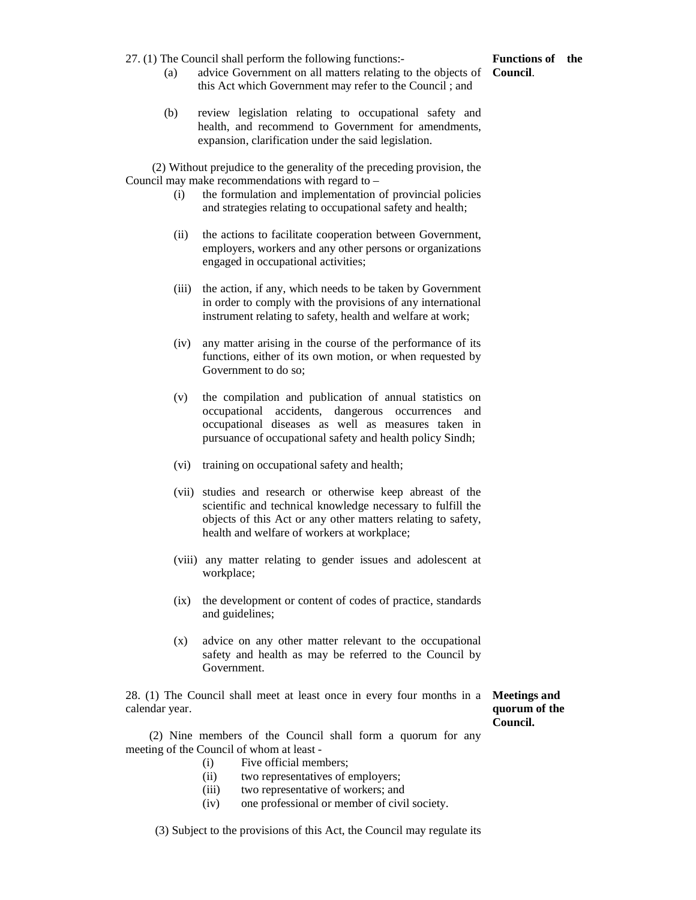27. (1) The Council shall perform the following functions:-

## **Functions of the**

- (a) advice Government on all matters relating to the objects of **Council**. this Act which Government may refer to the Council ; and
- (b) review legislation relating to occupational safety and health, and recommend to Government for amendments, expansion, clarification under the said legislation.

 (2) Without prejudice to the generality of the preceding provision, the Council may make recommendations with regard to –

- (i) the formulation and implementation of provincial policies and strategies relating to occupational safety and health;
- (ii) the actions to facilitate cooperation between Government, employers, workers and any other persons or organizations engaged in occupational activities;
- (iii) the action, if any, which needs to be taken by Government in order to comply with the provisions of any international instrument relating to safety, health and welfare at work;
- (iv) any matter arising in the course of the performance of its functions, either of its own motion, or when requested by Government to do so;
- (v) the compilation and publication of annual statistics on occupational accidents, dangerous occurrences and occupational diseases as well as measures taken in pursuance of occupational safety and health policy Sindh;
- (vi) training on occupational safety and health;
- (vii) studies and research or otherwise keep abreast of the scientific and technical knowledge necessary to fulfill the objects of this Act or any other matters relating to safety, health and welfare of workers at workplace;
- (viii) any matter relating to gender issues and adolescent at workplace;
- (ix) the development or content of codes of practice, standards and guidelines;
- (x) advice on any other matter relevant to the occupational safety and health as may be referred to the Council by Government.

28. (1) The Council shall meet at least once in every four months in a calendar year.

**Meetings and quorum of the Council.**

 (2) Nine members of the Council shall form a quorum for any meeting of the Council of whom at least -

- (i) Five official members;
- (ii) two representatives of employers;
- (iii) two representative of workers; and
- (iv) one professional or member of civil society.

(3) Subject to the provisions of this Act, the Council may regulate its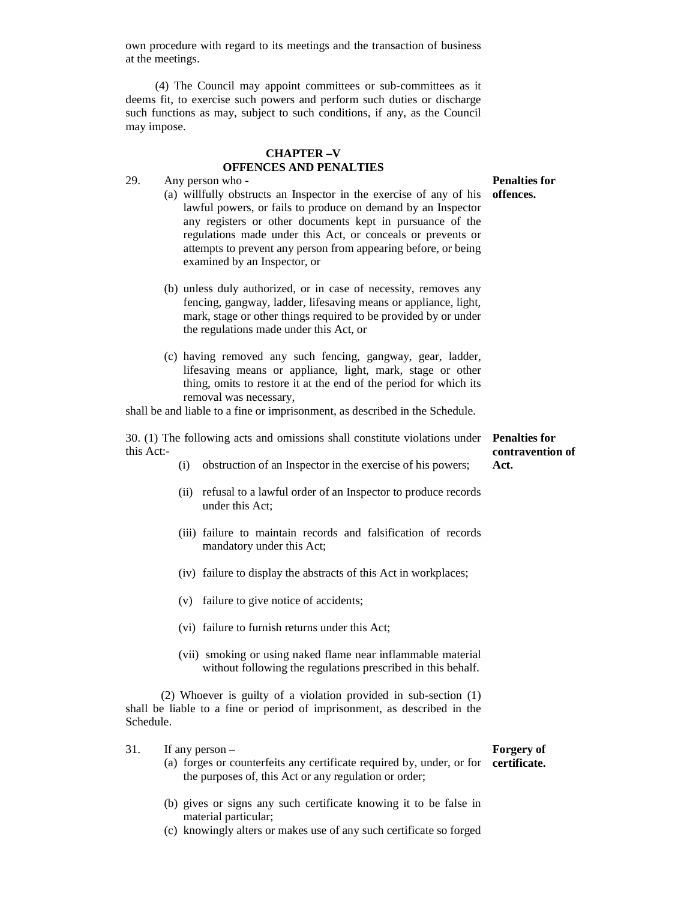own procedure with regard to its meetings and the transaction of business at the meetings.

 (4) The Council may appoint committees or sub-committees as it deems fit, to exercise such powers and perform such duties or discharge such functions as may, subject to such conditions, if any, as the Council may impose.

### **CHAPTER –V OFFENCES AND PENALTIES**

29. Any person who -

- (a) willfully obstructs an Inspector in the exercise of any of his lawful powers, or fails to produce on demand by an Inspector any registers or other documents kept in pursuance of the regulations made under this Act, or conceals or prevents or attempts to prevent any person from appearing before, or being examined by an Inspector, or
- (b) unless duly authorized, or in case of necessity, removes any fencing, gangway, ladder, lifesaving means or appliance, light, mark, stage or other things required to be provided by or under the regulations made under this Act, or
- (c) having removed any such fencing, gangway, gear, ladder, lifesaving means or appliance, light, mark, stage or other thing, omits to restore it at the end of the period for which its removal was necessary,

shall be and liable to a fine or imprisonment, as described in the Schedule.

30. (1) The following acts and omissions shall constitute violations under **Penalties for**  this Act: **contravention of** 

- (i) obstruction of an Inspector in the exercise of his powers;
- (ii) refusal to a lawful order of an Inspector to produce records under this Act;
- (iii) failure to maintain records and falsification of records mandatory under this Act;
- (iv) failure to display the abstracts of this Act in workplaces;
- (v) failure to give notice of accidents;
- (vi) failure to furnish returns under this Act;
- (vii) smoking or using naked flame near inflammable material without following the regulations prescribed in this behalf.

 (2) Whoever is guilty of a violation provided in sub-section (1) shall be liable to a fine or period of imprisonment, as described in the Schedule.

- 31. If any person
	- (a) forges or counterfeits any certificate required by, under, or for **certificate.** the purposes of, this Act or any regulation or order;
	- (b) gives or signs any such certificate knowing it to be false in material particular;
	- (c) knowingly alters or makes use of any such certificate so forged

# **Forgery of**

**Act.**

**Penalties for offences.**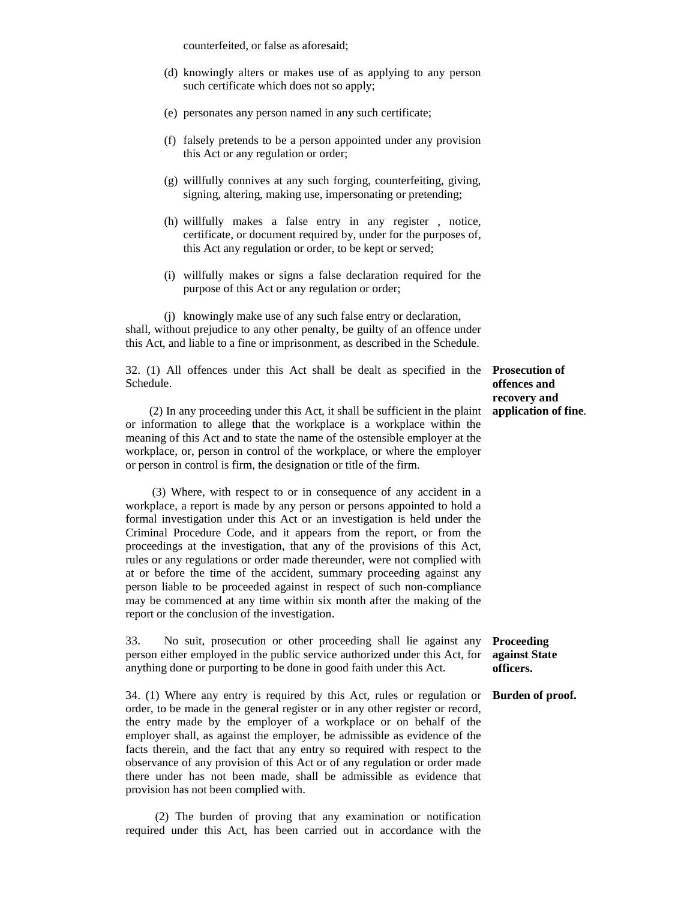counterfeited, or false as aforesaid;

- (d) knowingly alters or makes use of as applying to any person such certificate which does not so apply;
- (e) personates any person named in any such certificate;
- (f) falsely pretends to be a person appointed under any provision this Act or any regulation or order;
- (g) willfully connives at any such forging, counterfeiting, giving, signing, altering, making use, impersonating or pretending;
- (h) willfully makes a false entry in any register , notice, certificate, or document required by, under for the purposes of, this Act any regulation or order, to be kept or served;
- (i) willfully makes or signs a false declaration required for the purpose of this Act or any regulation or order;

(j) knowingly make use of any such false entry or declaration, shall, without prejudice to any other penalty, be guilty of an offence under this Act, and liable to a fine or imprisonment, as described in the Schedule.

32. (1) All offences under this Act shall be dealt as specified in the Schedule.

 (2) In any proceeding under this Act, it shall be sufficient in the plaint or information to allege that the workplace is a workplace within the meaning of this Act and to state the name of the ostensible employer at the workplace, or, person in control of the workplace, or where the employer or person in control is firm, the designation or title of the firm.

 (3) Where, with respect to or in consequence of any accident in a workplace, a report is made by any person or persons appointed to hold a formal investigation under this Act or an investigation is held under the Criminal Procedure Code, and it appears from the report, or from the proceedings at the investigation, that any of the provisions of this Act, rules or any regulations or order made thereunder, were not complied with at or before the time of the accident, summary proceeding against any person liable to be proceeded against in respect of such non-compliance may be commenced at any time within six month after the making of the report or the conclusion of the investigation.

33. No suit, prosecution or other proceeding shall lie against any person either employed in the public service authorized under this Act, for anything done or purporting to be done in good faith under this Act.

34. (1) Where any entry is required by this Act, rules or regulation or order, to be made in the general register or in any other register or record, the entry made by the employer of a workplace or on behalf of the employer shall, as against the employer, be admissible as evidence of the facts therein, and the fact that any entry so required with respect to the observance of any provision of this Act or of any regulation or order made there under has not been made, shall be admissible as evidence that provision has not been complied with.

 (2) The burden of proving that any examination or notification required under this Act, has been carried out in accordance with the

**Prosecution of offences and recovery and application of fine**.

### **Proceeding against State officers.**

### **Burden of proof.**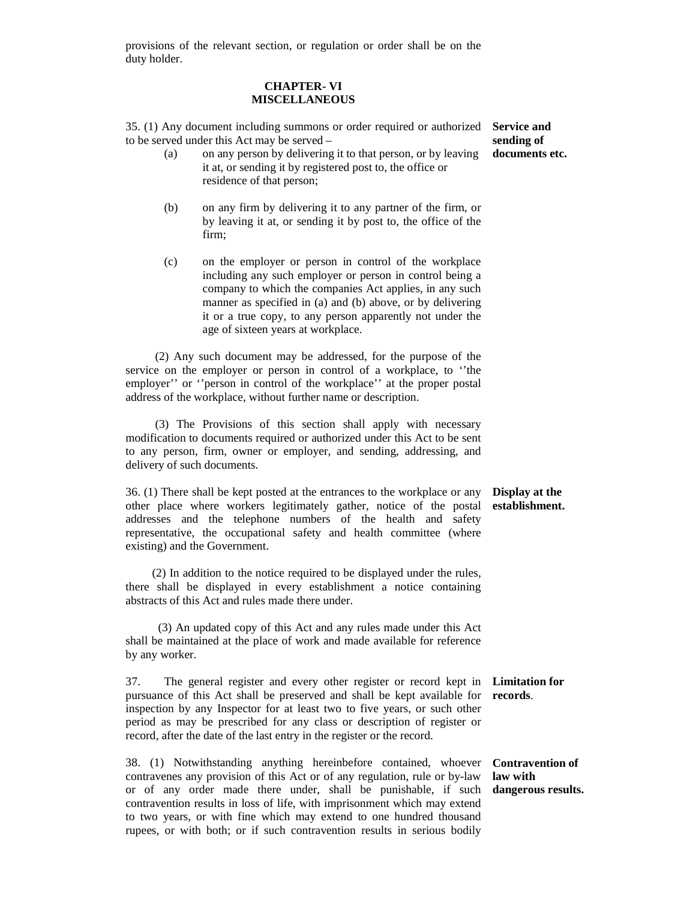provisions of the relevant section, or regulation or order shall be on the duty holder.

### **CHAPTER- VI MISCELLANEOUS**

35. (1) Any document including summons or order required or authorized **Service and**  to be served under this Act may be served –

- (a) on any person by delivering it to that person, or by leaving it at, or sending it by registered post to, the office or residence of that person;
- (b) on any firm by delivering it to any partner of the firm, or by leaving it at, or sending it by post to, the office of the firm;
- (c) on the employer or person in control of the workplace including any such employer or person in control being a company to which the companies Act applies, in any such manner as specified in (a) and (b) above, or by delivering it or a true copy, to any person apparently not under the age of sixteen years at workplace.

 (2) Any such document may be addressed, for the purpose of the service on the employer or person in control of a workplace, to ''the employer'' or ''person in control of the workplace'' at the proper postal address of the workplace, without further name or description.

 (3) The Provisions of this section shall apply with necessary modification to documents required or authorized under this Act to be sent to any person, firm, owner or employer, and sending, addressing, and delivery of such documents.

36. (1) There shall be kept posted at the entrances to the workplace or any other place where workers legitimately gather, notice of the postal addresses and the telephone numbers of the health and safety representative, the occupational safety and health committee (where existing) and the Government.

 (2) In addition to the notice required to be displayed under the rules, there shall be displayed in every establishment a notice containing abstracts of this Act and rules made there under.

 (3) An updated copy of this Act and any rules made under this Act shall be maintained at the place of work and made available for reference by any worker.

37. The general register and every other register or record kept in **Limitation for**  pursuance of this Act shall be preserved and shall be kept available for **records**. inspection by any Inspector for at least two to five years, or such other period as may be prescribed for any class or description of register or record, after the date of the last entry in the register or the record.

38. (1) Notwithstanding anything hereinbefore contained, whoever contravenes any provision of this Act or of any regulation, rule or by-law or of any order made there under, shall be punishable, if such **dangerous results.**contravention results in loss of life, with imprisonment which may extend to two years, or with fine which may extend to one hundred thousand rupees, or with both; or if such contravention results in serious bodily

### **Display at the establishment.**

**Contravention of law with** 

**sending of documents etc.**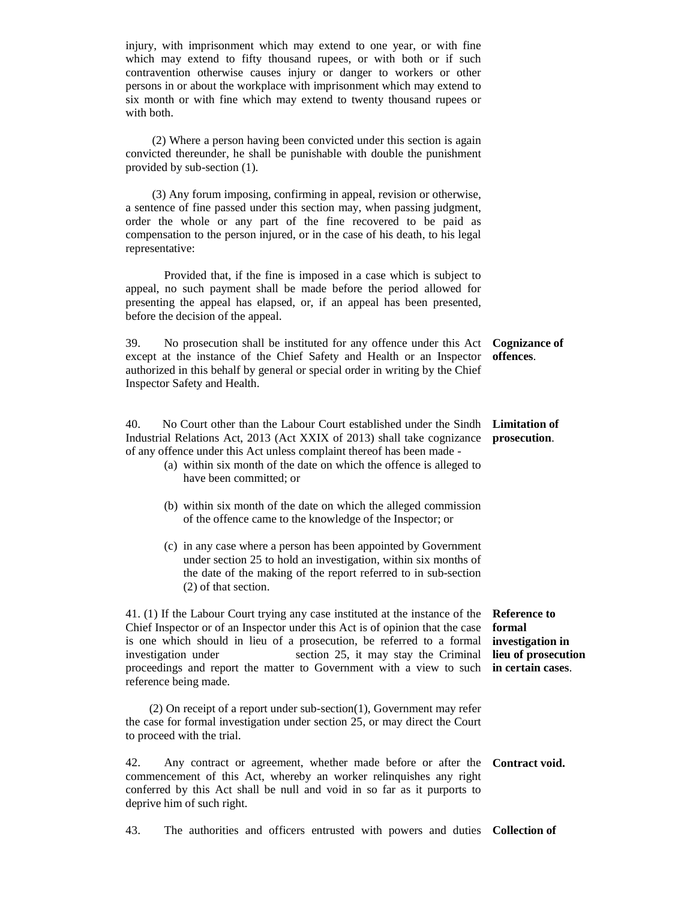injury, with imprisonment which may extend to one year, or with fine which may extend to fifty thousand rupees, or with both or if such contravention otherwise causes injury or danger to workers or other persons in or about the workplace with imprisonment which may extend to six month or with fine which may extend to twenty thousand rupees or with both. (2) Where a person having been convicted under this section is again convicted thereunder, he shall be punishable with double the punishment provided by sub-section (1). (3) Any forum imposing, confirming in appeal, revision or otherwise, a sentence of fine passed under this section may, when passing judgment, order the whole or any part of the fine recovered to be paid as compensation to the person injured, or in the case of his death, to his legal representative: Provided that, if the fine is imposed in a case which is subject to appeal, no such payment shall be made before the period allowed for presenting the appeal has elapsed, or, if an appeal has been presented, before the decision of the appeal. 39. No prosecution shall be instituted for any offence under this Act **Cognizance of**  except at the instance of the Chief Safety and Health or an Inspector authorized in this behalf by general or special order in writing by the Chief Inspector Safety and Health. **offences**. 40. No Court other than the Labour Court established under the Sindh **Limitation of**  Industrial Relations Act, 2013 (Act XXIX of 2013) shall take cognizance **prosecution**. of any offence under this Act unless complaint thereof has been made - (a) within six month of the date on which the offence is alleged to have been committed; or (b) within six month of the date on which the alleged commission of the offence came to the knowledge of the Inspector; or (c) in any case where a person has been appointed by Government under section 25 to hold an investigation, within six months of the date of the making of the report referred to in sub-section (2) of that section. 41. (1) If the Labour Court trying any case instituted at the instance of the **Reference to**  Chief Inspector or of an Inspector under this Act is of opinion that the case is one which should in lieu of a prosecution, be referred to a formal investigation under section 25, it may stay the Criminal proceedings and report the matter to Government with a view to such **in certain cases**. reference being made. (2) On receipt of a report under sub-section(1), Government may refer the case for formal investigation under section 25, or may direct the Court to proceed with the trial. **formal investigation in lieu of prosecution**  42. Any contract or agreement, whether made before or after the **Contract void.** commencement of this Act, whereby an worker relinquishes any right conferred by this Act shall be null and void in so far as it purports to deprive him of such right.

43. The authorities and officers entrusted with powers and duties **Collection of**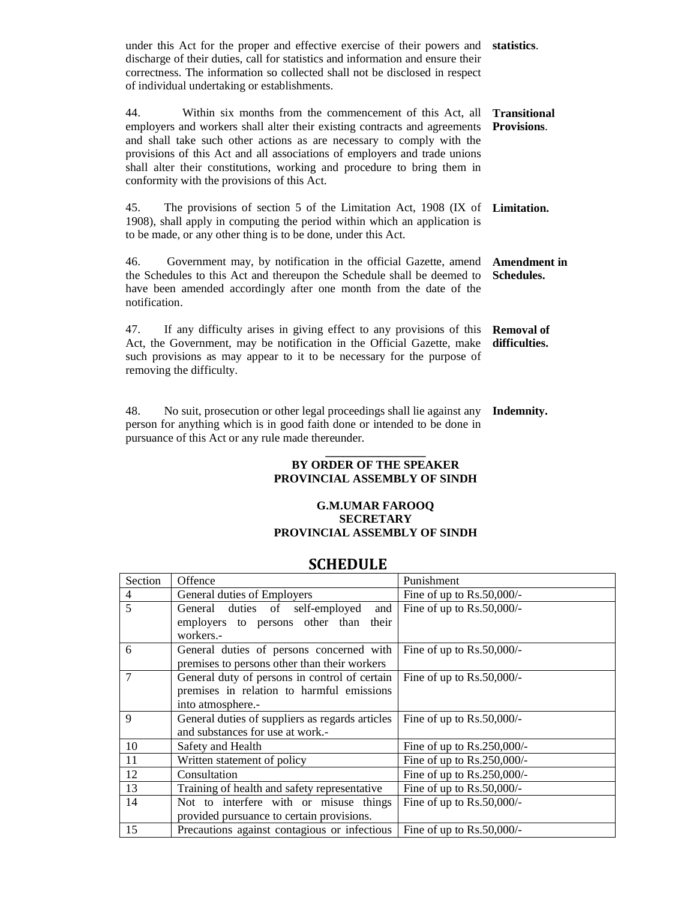under this Act for the proper and effective exercise of their powers and **statistics**. discharge of their duties, call for statistics and information and ensure their correctness. The information so collected shall not be disclosed in respect of individual undertaking or establishments.

44. Within six months from the commencement of this Act, all employers and workers shall alter their existing contracts and agreements and shall take such other actions as are necessary to comply with the provisions of this Act and all associations of employers and trade unions shall alter their constitutions, working and procedure to bring them in conformity with the provisions of this Act. **Transitional Provisions**.

45. The provisions of section 5 of the Limitation Act, 1908 (IX of **Limitation.**  1908), shall apply in computing the period within which an application is to be made, or any other thing is to be done, under this Act.

46. Government may, by notification in the official Gazette, amend the Schedules to this Act and thereupon the Schedule shall be deemed to have been amended accordingly after one month from the date of the notification. **Amendment in Schedules.**

47. If any difficulty arises in giving effect to any provisions of this Act, the Government, may be notification in the Official Gazette, make such provisions as may appear to it to be necessary for the purpose of removing the difficulty. **Removal of difficulties.**

48. No suit, prosecution or other legal proceedings shall lie against any person for anything which is in good faith done or intended to be done in pursuance of this Act or any rule made thereunder. **Indemnity.**

### **\_\_\_\_\_\_\_\_\_\_\_\_\_\_\_\_\_ BY ORDER OF THE SPEAKER PROVINCIAL ASSEMBLY OF SINDH**

### **G.M.UMAR FAROOQ SECRETARY PROVINCIAL ASSEMBLY OF SINDH**

### **SCHEDULE**

| Section | Offence                                         | Punishment                    |
|---------|-------------------------------------------------|-------------------------------|
| 4       | General duties of Employers                     | Fine of up to $Rs.50,000/-$   |
| 5       | General duties of self-employed<br>and          | Fine of up to $Rs.50,000/$ -  |
|         | employers to persons other than<br>their        |                               |
|         | workers.-                                       |                               |
| 6       | General duties of persons concerned with        | Fine of up to $Rs.50,000/-$   |
|         | premises to persons other than their workers    |                               |
| 7       | General duty of persons in control of certain   | Fine of up to $Rs.50,000/-$   |
|         | premises in relation to harmful emissions       |                               |
|         | into atmosphere.-                               |                               |
| 9       | General duties of suppliers as regards articles | Fine of up to $Rs.50,000/-$   |
|         | and substances for use at work.-                |                               |
| 10      | Safety and Health                               | Fine of up to $Rs.250,000/$ - |
| 11      | Written statement of policy                     | Fine of up to $Rs.250,000/-$  |
| 12      | Consultation                                    | Fine of up to $Rs.250,000/$ - |
| 13      | Training of health and safety representative    | Fine of up to $Rs.50,000/-$   |
| 14      | Not to interfere with or misuse things          | Fine of up to $Rs.50,000/-$   |
|         | provided pursuance to certain provisions.       |                               |
| 15      | Precautions against contagious or infectious    | Fine of up to $Rs.50,000/-$   |